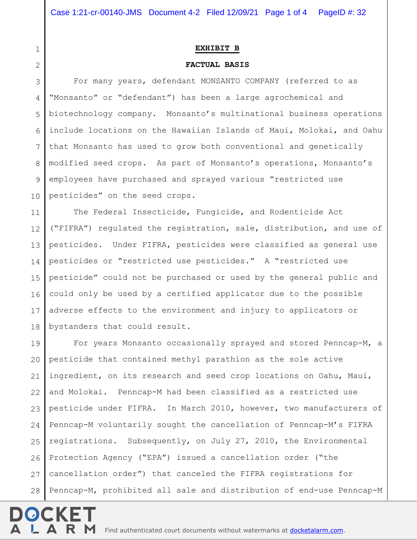1

2

## **EXHIBIT B**

## **FACTUAL BASIS**

3 4 5 6 7 8 9 10 For many years, defendant MONSANTO COMPANY (referred to as "Monsanto" or "defendant") has been a large agrochemical and biotechnology company. Monsanto's multinational business operations include locations on the Hawaiian Islands of Maui, Molokai, and Oahu that Monsanto has used to grow both conventional and genetically modified seed crops. As part of Monsanto's operations, Monsanto's employees have purchased and sprayed various "restricted use pesticides" on the seed crops.

11 12 13 14 15 16 17 18 The Federal Insecticide, Fungicide, and Rodenticide Act ("FIFRA") regulated the registration, sale, distribution, and use of pesticides. Under FIFRA, pesticides were classified as general use pesticides or "restricted use pesticides." A "restricted use pesticide" could not be purchased or used by the general public and could only be used by a certified applicator due to the possible adverse effects to the environment and injury to applicators or bystanders that could result.

19 20 21 22 23 24 25 26 27 28 For years Monsanto occasionally sprayed and stored Penncap-M, a pesticide that contained methyl parathion as the sole active ingredient, on its research and seed crop locations on Oahu, Maui, and Molokai. Penncap-M had been classified as a restricted use pesticide under FIFRA. In March 2010, however, two manufacturers of Penncap-M voluntarily sought the cancellation of Penncap-M's FIFRA registrations. Subsequently, on July 27, 2010, the Environmental Protection Agency ("EPA") issued a cancellation order ("the cancellation order") that canceled the FIFRA registrations for Penncap-M, prohibited all sale and distribution of end-use Penncap-M

**R M** Find authenticated [court documents without watermarks](https://www.docketalarm.com/) at **docketalarm.com**.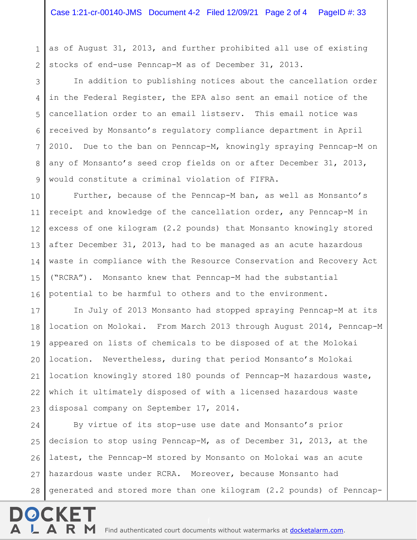1 2 as of August 31, 2013, and further prohibited all use of existing stocks of end-use Penncap-M as of December 31, 2013.

3 4 5 6 7 8 9 In addition to publishing notices about the cancellation order in the Federal Register, the EPA also sent an email notice of the cancellation order to an email listserv. This email notice was received by Monsanto's regulatory compliance department in April 2010. Due to the ban on Penncap-M, knowingly spraying Penncap-M on any of Monsanto's seed crop fields on or after December 31, 2013, would constitute a criminal violation of FIFRA.

10 11 12 13 14 15 16 Further, because of the Penncap-M ban, as well as Monsanto's receipt and knowledge of the cancellation order, any Penncap-M in excess of one kilogram (2.2 pounds) that Monsanto knowingly stored after December 31, 2013, had to be managed as an acute hazardous waste in compliance with the Resource Conservation and Recovery Act ("RCRA"). Monsanto knew that Penncap-M had the substantial potential to be harmful to others and to the environment.

17 18 19 20 21 22 23 In July of 2013 Monsanto had stopped spraying Penncap-M at its location on Molokai. From March 2013 through August 2014, Penncap-M appeared on lists of chemicals to be disposed of at the Molokai location. Nevertheless, during that period Monsanto's Molokai location knowingly stored 180 pounds of Penncap-M hazardous waste, which it ultimately disposed of with a licensed hazardous waste disposal company on September 17, 2014.

24 25 26 27 28 By virtue of its stop-use use date and Monsanto's prior decision to stop using Penncap-M, as of December 31, 2013, at the latest, the Penncap-M stored by Monsanto on Molokai was an acute hazardous waste under RCRA. Moreover, because Monsanto had generated and stored more than one kilogram (2.2 pounds) of Penncap-

 $\mathsf{A}\;\;\mathsf{R}\;\;\mathsf{M}\;$  Find authenticated [court documents without watermarks](https://www.docketalarm.com/) at **docketalarm.com**.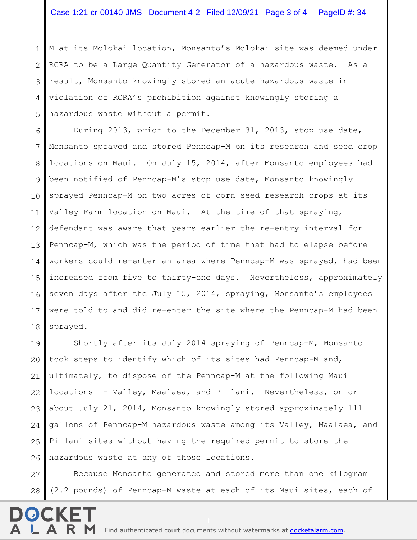1 2 3 4 5 M at its Molokai location, Monsanto's Molokai site was deemed under RCRA to be a Large Quantity Generator of a hazardous waste. As a result, Monsanto knowingly stored an acute hazardous waste in violation of RCRA's prohibition against knowingly storing a hazardous waste without a permit.

6 7 8 9 10 11 12 13 14 15 16 17 18 During 2013, prior to the December 31, 2013, stop use date, Monsanto sprayed and stored Penncap-M on its research and seed crop locations on Maui. On July 15, 2014, after Monsanto employees had been notified of Penncap-M's stop use date, Monsanto knowingly sprayed Penncap-M on two acres of corn seed research crops at its Valley Farm location on Maui. At the time of that spraying, defendant was aware that years earlier the re-entry interval for Penncap-M, which was the period of time that had to elapse before workers could re-enter an area where Penncap-M was sprayed, had been increased from five to thirty-one days. Nevertheless, approximately seven days after the July 15, 2014, spraying, Monsanto's employees were told to and did re-enter the site where the Penncap-M had been sprayed.

19 20 21 22 23 24 25 26 Shortly after its July 2014 spraying of Penncap-M, Monsanto took steps to identify which of its sites had Penncap-M and, ultimately, to dispose of the Penncap-M at the following Maui locations –- Valley, Maalaea, and Piilani. Nevertheless, on or about July 21, 2014, Monsanto knowingly stored approximately 111 gallons of Penncap-M hazardous waste among its Valley, Maalaea, and Piilani sites without having the required permit to store the hazardous waste at any of those locations.

27 28 Because Monsanto generated and stored more than one kilogram (2.2 pounds) of Penncap-M waste at each of its Maui sites, each of

R M Find authenticated [court documents without watermarks](https://www.docketalarm.com/) at **docketalarm.com**.